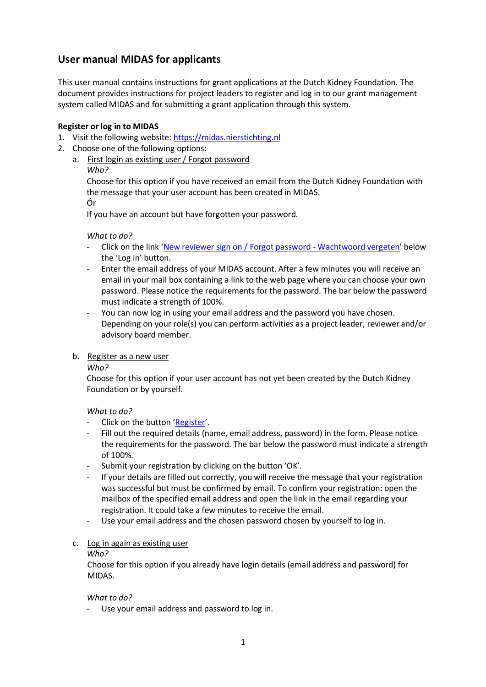# **User manual MIDAS for applicants**

This user manual contains instructions for grant applications at the Dutch Kidney Foundation. The document provides instructions for project leaders to register and log in to our grant management system called MIDAS and for submitting a grant application through this system.

## **Register or log in to MIDAS**

- 1. Visit the following website[: https://midas.nierstichting.nl](https://midas.nierstichting.nl/)
- 2. Choose one of the following options:
	- a. First login as existing user / Forgot password
		- *Who?*

Choose for this option if you have received an email from the Dutch Kidney Foundation with the message that your user account has been created in MIDAS. Ór

If you have an account but have forgotten your password.

#### *What to do?*

- Click on the link '[New reviewer sign on / Forgot password -](https://nierstichting.quest.ie/register/recover-password) Wachtwoord vergeten' below the 'Log in' button.
- Enter the email address of your MIDAS account. After a few minutes you will receive an email in your mail box containing a link to the web page where you can choose your own password. Please notice the requirements for the password. The bar below the password must indicate a strength of 100%.
- You can now log in using your email address and the password you have chosen. Depending on your role(s) you can perform activities as a project leader, reviewer and/or advisory board member.

#### b. Register as a new user

*Who?*

Choose for this option if your user account has not yet been created by the Dutch Kidney Foundation or by yourself.

#### *What to do?*

- Click on the button '[Register](https://nierstichting.quest.ie/register/user-new?return_url=/)'.
- Fill out the required details (name, email address, password) in the form. Please notice the requirements for the password. The bar below the password must indicate a strength of 100%.
- Submit your registration by clicking on the button 'OK'.
- If your details are filled out correctly, you will receive the message that your registration was successful but must be confirmed by email. To confirm your registration: open the mailbox of the specified email address and open the link in the email regarding your registration. It could take a few minutes to receive the email.
- Use your email address and the chosen password chosen by yourself to log in.

#### c. Log in again as existing user

*Who?*

Choose for this option if you already have login details (email address and password) for MIDAS.

#### *What to do?*

Use your email address and password to log in.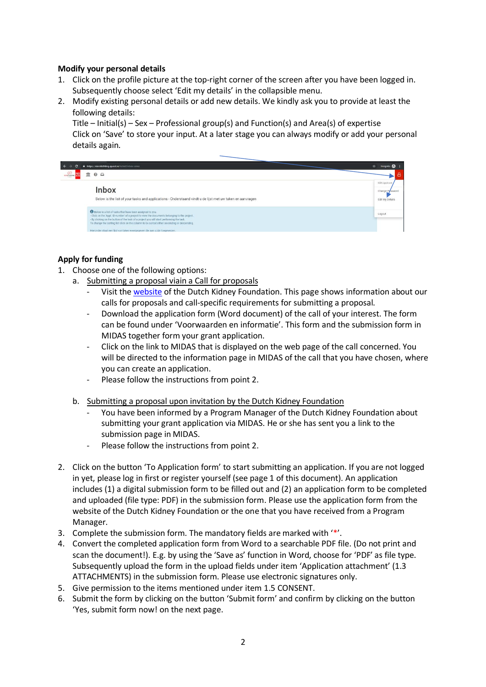## **Modify your personal details**

- 1. Click on the profile picture at the top-right corner of the screen after you have been logged in. Subsequently choose select 'Edit my details' in the collapsible menu.
- 2. Modify existing personal details or add new details. We kindly ask you to provide at least the following details:

Title – Initial(s) – Sex – Professional group(s) and Function(s) and Area(s) of expertise Click on 'Save' to store your input. At a later stage you can always modify or add your personal details again.

|                           | https://nierstichting.quest.ie/ticket/inbox-aims                                                                                                                                                                                                                                                                                                                                                                                            | $\rightarrow$<br>Incognito                           |
|---------------------------|---------------------------------------------------------------------------------------------------------------------------------------------------------------------------------------------------------------------------------------------------------------------------------------------------------------------------------------------------------------------------------------------------------------------------------------------|------------------------------------------------------|
| <b><i>BEESTICATIO</i></b> | $\odot$ $\odot$                                                                                                                                                                                                                                                                                                                                                                                                                             |                                                      |
|                           | <b>Inbox</b><br>Below is the list of your tasks and applications - Onderstaand vindt u de lijst met uw taken en aanvragen                                                                                                                                                                                                                                                                                                                   | NSN Applicant<br>Change Prissword<br>Edit My Details |
|                           | <b>O</b> Below is a list of tasks that have been assigned to you.<br>- Click on the 'Appl. ID-number' of a project to view the documents belonging to the project.<br>- By clicking on the button of the task of a project you will start performing the task.<br>To change the sorting list click on the column to be sorted either ascending or descending.<br>Hieronder staat een lijst van taken weergegeven die aan u zijn toegewezen. | Logout                                               |

## **Apply for funding**

- 1. Choose one of the following options:
	- a. Submitting a proposal viain a Call for proposals
		- Visit th[e website](https://www.nierstichting.nl/professionals/wetenschappelijk-onderzoek/calls-proposals/kleine-kolff-beurzen/) of the Dutch Kidney Foundation. This page shows information about our calls for proposals and call-specific requirements for submitting a proposal.
		- Download the application form (Word document) of the call of your interest. The form can be found under 'Voorwaarden en informatie'. This form and the submission form in MIDAS together form your grant application.
		- Click on the link to MIDAS that is displayed on the web page of the call concerned. You will be directed to the information page in MIDAS of the call that you have chosen, where you can create an application.
		- Please follow the instructions from point 2.
	- b. Submitting a proposal upon invitation by the Dutch Kidney Foundation
		- You have been informed by a Program Manager of the Dutch Kidney Foundation about submitting your grant application via MIDAS. He or she has sent you a link to the submission page in MIDAS.
		- Please follow the instructions from point 2.
- 2. Click on the button 'To Application form' to start submitting an application. If you are not logged in yet, please log in first or register yourself (see page 1 of this document). An application includes (1) a digital submission form to be filled out and (2) an application form to be completed and uploaded (file type: PDF) in the submission form. Please use the application form from the website of the Dutch Kidney Foundation or the one that you have received from a Program Manager.
- 3. Complete the submission form. The mandatory fields are marked with  $'$ .
- 4. Convert the completed application form from Word to a searchable PDF file. (Do not print and scan the document!). E.g. by using the 'Save as' function in Word, choose for 'PDF' as file type. Subsequently upload the form in the upload fields under item 'Application attachment' (1.3 ATTACHMENTS) in the submission form. Please use electronic signatures only.
- 5. Give permission to the items mentioned under item 1.5 CONSENT.
- 6. Submit the form by clicking on the button 'Submit form' and confirm by clicking on the button 'Yes, submit form now! on the next page.